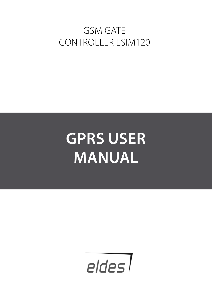## **GSM GATE** Controller ESIM120

# **GPRS User Manual**

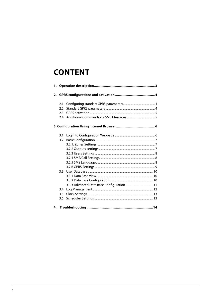### **CONTENT**

| 3.4 |  |
|-----|--|
| 3.5 |  |
| 3.6 |  |
|     |  |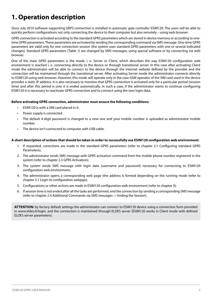### **1. Operation description**

Since July 2010 software supporting GRPS connection is installed in automatic gate controller ESIM120. The users will be able to quickly perform configurations not only connecting the device to their computer but also remotely – using web browser.

GPRS connection is activated according to the standard GPRS parameters which are stored in device memory or according to onetime GPRS parameters. These parameters are activated by sending the corresponding command via SMS message. One-time GPRS parameters are valid only for one connection session (the system uses standard GPRS parameters with one or several indicated changes). Standard GPRS parameters (Table 1) are changed by SMS messages, using special software or by connecting via web browser.

One of the main GPRS parameters is the mode, i. e. Server or Client, which describes the way ESIM120 configuration web environment is reached i. e. connecting directly to the device or through transitional server. In this case after activating Client mode the administrator will be able to connect to the device through the internet website defined by the provider and the connection will be maintained through the transitional server. After activating Server mode the administrator connects directly to ESIM120 using web browser. However, this mode will operate only in the case GSM operator of the SIM card used in the device provides a static IP address. It is also necessary to mention that GPRS connection is activated only for a particular period (session time) and after this period is over it is ended automatically. In such a case, if the administrator wants to continue configuring ESIM120 it is necessary to reactivate GPRS connection and to connect using the new login data.

#### **Before activating GPRS connection, administrator must ensure the following conditions:**

- • ESIM120 is with a SIM card placed in it.
- Power supply is connected.
- The default 4-digit password is changed to a new one and your mobile number is uploaded as administrator mobile number.
- The device isn't connected to computer with USB cable.

#### **A short description of actions that should be taken in order to successfully use ESIM120 configuration web environment:**

- 1. If requested, corrections are made in the standard GPRS parameters (refer to chapter 2.1 Configuring standard GPRS Parameters);
- 2. The administrator sends SMS message with GPRS activation command from the mobile phone number registered in the system (refer to chapter 2.3 GPRS Activation);
- 3. The system sends SMS message with login data (username and password) necessary for connecting to ESIM120 configuration web environment;
- 4. The administrator opens a corresponding web page (the address is formed depending on the running mode (refer to chapter 3.1 Login to configuration webpge);
- 5. Configurations or other actions are made in ESIM120 configuration web environment (refer to chapter 3);
- 6. If session time is not ended after all the tasks are performed, end the connection by sending a corresponding SMS message (refer to chapter 2.4 Additional Commands via SMS messages -> Ending the Session).

**Attention:** by factory default settings the administrator can connect to ESIM120 device using a connection form provided in www.eldes.lt/login, and the connection is maintained through ELDES server (ESIM120 works in Client mode with defined ELDES server parameters).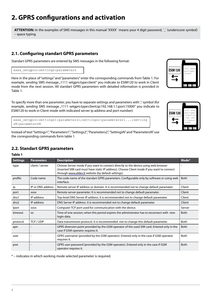### **2. GPRS configurations and activation**

**ATTENTION:** In the examples of SMS messages in this manual 'XXXX' means your 4 digit password, '\_' (underscore symbol) – space typing.

### **2.1. Configuring standart GPRS parameters**

Standart GPRS parameters are entered by SMS messages in the following format:

#### $\overline{\phantom{a}}$ xxxx\_setgprs:settings:parameters

Here in the place of "settings" and "parameters" enter the corresponding commands from Table 1. For example, sending SMS message "1111 setgprs:type:client" you indicate to ESIM120 to work in Client mode from the next session. All standart GPRS parameters with detailed information is provided in Table 1.

To specify more than one parameter, you have to separate settings and parameters with ';'symbol (for example, sending SMS message "1111 setgprs:type:client;ip:192.168.1.1;port:15000" you indicate to ESIM120 to work in Client mode with indicated server ip address and port number):

xxxx\_setgprs:settings1:parameters1;settings2:parameters2;...;setting sN:parametersN

Instead of text "Settings1", "Parameters1", "Settings2", "Parameters2", "SettingsN" and "ParametersN" use the corresponding commands form table 1.

#### **2.2. Standart GPRS parameters**

#### **Table 1**

L

| <b>Settings</b> | <b>Parameters</b> | <b>Description</b>                                                                                                                                                                                                                      | Mode*       |
|-----------------|-------------------|-----------------------------------------------------------------------------------------------------------------------------------------------------------------------------------------------------------------------------------------|-------------|
| type            | client / server   | Choose Server mode if you want to connect directly to the device using web browser<br>(inserted SIM card must have static IP address). Choose Client mode if you want to connect<br>through www.eldes.lt website (by default settings). |             |
| profile         | Code name         | The code name of the standart GPRS parameters. Configurable only by software or using web<br>interface.                                                                                                                                 | <b>Both</b> |
| ip              | IP or DNS address | Remote server IP address or domain. It is recommended not to change default paramater.                                                                                                                                                  | Client      |
| port            | <b>XXXX</b>       | Remote server parameter. It is recommended not to change default paramater.                                                                                                                                                             | Client      |
| dns1            | IP address        | Top-level DNS Server IP address. It is recommended not to change default paramater.                                                                                                                                                     | Client      |
| dns2            | IP address        | DNS Server IP address. It is recommended not to change default paramater.                                                                                                                                                               | Client      |
| Iport           | <b>XXXX</b>       | Computer TCP port used for communication with the device.                                                                                                                                                                               | Server      |
| timeout         | <b>XX</b>         | Time of one session; when this period expires the administrator has to reconnect with new<br>login data.                                                                                                                                | <b>Both</b> |
| protocol        | TCP / UDP         | Data transmission protocol. It is recommended not to change this default parameter.                                                                                                                                                     | <b>Both</b> |
| apn             |                   | GPRS diversion point provided by the GSM operator of the used SIM card. Entered only in the<br>case if GSM operator requires it.                                                                                                        | <b>Both</b> |
| user            |                   | GPRS username (provided by the GSM operator). Entered only in the case if GSM operator<br>requires it.                                                                                                                                  | <b>Both</b> |
| psw             |                   | GPRS user password (provided by the GSM operator). Entered only in the case if GSM<br>operator requires it.                                                                                                                             | <b>Both</b> |

\* – indicates in which working mode selected parameter is required.

| <b>ESIM 120</b> | 1111 setq<br>prs:type:<br>client |
|-----------------|----------------------------------|
|                 |                                  |

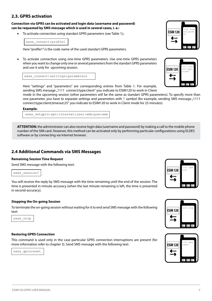#### **2.3. GPRS activation**

**Connection via GPRS can be activated and login data (username and password) can be requested by SMS message which is used in several cases, i. e.:**

• To activate connection using standart GPRS parameters (see Table 1),:

xxxx\_connect:profile1

Here "profile1" is the code name of the used standart GPRS parameters.

To activate connection using one-time GPRS parameters. Use one-time GPRS parameters when you want to change only one or several parameters from the standart GPRS parameters and use it only for upcoming session.

| xxxx connect: settings: parameters |  |
|------------------------------------|--|
|------------------------------------|--|

Here "settings" and "parameters" are corresponding entries from Table 1. For example, sending SMS message  $1111$  connect:type:client" you indicate to ESIM120 to work in Client

mode in the upcoming session (other parameters will be the same as standart GPRS parameters). To specify more than one parameter, you have to separate settings and parameters with ';' symbol (for example, sending SMS message "1111 connect:type:client;timeout:25" you indicate to ESIM120 to work in Client mode for 25 minutes).

#### **Example:**

xxxx\_setgprs:apn:internet;user:web;psw:web

**Attention:** the administrator can also receive login data (username and password) by making a call to the mobile phone number of the SIM card. However, this method can be activated only by performing particular configurations using ELDES software or by connecting via Internet browser.

#### **2.4 Additional Commands via SMS Messages**

#### **Remaining Session Time Request**

Send SMS message with the following text:

xxxx\_session?

L

You will receive the reply by SMS message with the time remaining until the end of the session. The time is presented in minute-accuracy (when the last minute remaining is left, the time is presented in second-accuracy).

#### **Stopping the On-going Session**

To terminate the on-going session without waiting for it to end send SMS message with the following text:

xxxx\_stop

#### **Restoring GPRS Connection**

This command is used only in the case particular GPRS connection interruptions are present (for more information refer to chapter 3). Send SMS message with the following text:

xxxx\_gprsreset









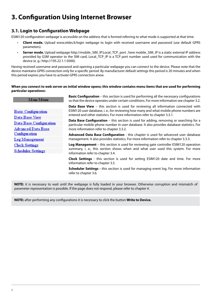### **3. Configuration Using Internet Browser**

#### **3.1. Login to Configuration Webpage**

ESIM120 configuration webpage is accessible on the address that is formed referring to what mode is supported at that time:

- **Client mode.** Upload www.eldes.lt/login webpage to login with received username and password (use default GPRS parameters).
- **Server mode.** Upload webpage http://mobile\_SIM\_IP:Local\_TCP\_port , here mobile\_SIM\_IP is a static external IP address provided by GSM operator to the SIM card, Local TCP\_IP is a TCP port number used used for communication with the device (e. g.: http://195.22.1.1:5000).

Having received username and password and opening a particular webpage you can connect to the device. Please note that the device maintains GPRS connection only for a specific period. By manufacturer default settings this period is 20 minutes and when this period expires you have to activate GPRS connection anew.

#### **When you connect to web server an initial window opens; this window contains menu items that are used for performing particular operations:**

| Main Menu                      | <b>Basic Configuration</b> – this section is used for performing all the necessary configurations<br>so that the device operates under certain conditions. For more information see chapter 3.2.                                                                                                                                                                                                                                                                 |  |  |
|--------------------------------|------------------------------------------------------------------------------------------------------------------------------------------------------------------------------------------------------------------------------------------------------------------------------------------------------------------------------------------------------------------------------------------------------------------------------------------------------------------|--|--|
| <b>Basic Configuration</b>     | <b>Data Base View</b> – this section is used for reviewing all information connected with<br>ESIM120 user database, i. e., for reviewing how many and what mobile phone numbers are<br>entered and other statistics. For more information refer to chapter 3.3.1.<br><b>Data Base Configuration</b> – this section is used for adding, removing or searching for a<br>particular mobile phone number in user database. It also provides database statistics. For |  |  |
| Data Base View                 |                                                                                                                                                                                                                                                                                                                                                                                                                                                                  |  |  |
| <b>Data Base Configuration</b> |                                                                                                                                                                                                                                                                                                                                                                                                                                                                  |  |  |
| <b>Advanced Data Base</b>      | more information refer to chapter 3.3.2.                                                                                                                                                                                                                                                                                                                                                                                                                         |  |  |
| Configuration                  | Advanced Data Base Configuration - this chapter is used for advanced user database                                                                                                                                                                                                                                                                                                                                                                               |  |  |
| <b>Log Management</b>          | management. It also provides statistics. For more information refer to chapter 3.3.3.                                                                                                                                                                                                                                                                                                                                                                            |  |  |
| <b>Clock Settings</b>          | <b>Log Management</b> – this section is used for reviewing gate controller ESIM120 operation                                                                                                                                                                                                                                                                                                                                                                     |  |  |
| <b>Scheduler Settings</b>      | summary, i. e., this section shows when and what user used this system. For more<br>information refer to chapter 3.4.                                                                                                                                                                                                                                                                                                                                            |  |  |
|                                | <b>Clock Settings</b> - this section is used for setting ESIM120 date and time. For more<br>information refer to chapter 3.5.                                                                                                                                                                                                                                                                                                                                    |  |  |
|                                | <b>Cchadular Cottings</b> this section is used for managing quent log For more information                                                                                                                                                                                                                                                                                                                                                                       |  |  |

**Scheduler Settings -** this section is used for managing event log. For more information refer to chapter 3.6.

**NOTE:** it is necessary to wait until the webpage is fully loaded in your browser. Otherwise corruption and mismatch of parameter representation is possible. If the page does not respond, please refer to chapter 4.

**NOTE:** after performing any configurations it is necessary to click the button **Write to Device.**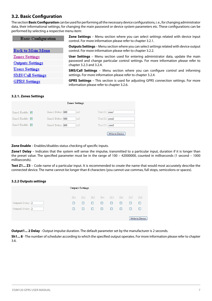#### **3.2. Basic Configuration**

The section **Basic Configuration** can be used for performing all the necessary device configurations, i. e., for changing administrator data, their informational settings, for changing the main password or device system parameters etc. These configurations can be performed by selecting a respective menu item:

| <b>Basic Configuration</b> | <b>Zone Settings</b> – Menu section where you can select settings related with device input<br>control. For more information please refer to chapter 3.2.1.     |  |
|----------------------------|-----------------------------------------------------------------------------------------------------------------------------------------------------------------|--|
| <b>Back to Main Menu</b>   | <b>Outputs Settings</b> – Menu section where you can select settings related with device output<br>control. For more information please refer to chapter 3.2.2. |  |
| <b>Zones Settings</b>      | <b>User Settings</b> – Menu section used for entering administrator data, update the main                                                                       |  |
| <b>Outputs Settings</b>    | password and change particular control settings. For more information please refer to<br>chapter 3.2.3 and 3.2.4.                                               |  |
| <b>Users Settings</b>      | <b>SMS/Call Settings</b> – Menu section where you can configure control and informing                                                                           |  |
| <b>SMS/Call Settings</b>   | settings. For more information please refer to chapter 3.2.4.                                                                                                   |  |
| <b>GPRS</b> Settings       | <b>GPRS Settings</b> - This section is used for adjusting GPRS connection settings. For more<br>information please refer to chapter 3.2.6.                      |  |

#### **3.2.1. Zones Settings**

|                        | <b>Zones Settings</b>  |                 |  |  |  |
|------------------------|------------------------|-----------------|--|--|--|
| Zonel Enable: $\nabla$ | mS<br>Zonel Delay: 600 | Text Z1: zone1  |  |  |  |
| Zone2 Enable: $\nabla$ | mS<br>Zone2 Delay: 600 | Text Z2: zone2  |  |  |  |
| Zone3 Enable: $\nabla$ | mS<br>Zone3 Delay: 600 | Text Z3: zone3  |  |  |  |
|                        |                        | Write to Device |  |  |  |

**Zone Enable** – Enables/disables status checking of specific inputs.

**Zone1 Delay** – Indicates that the system will sense the impulse, transmitted to a particular input, duration if it is longer than the preset value. The specified parameter must be in the range of 100 – 42000000, counted in milliseconds (1 second – 1000 milliseconds).

**Text Z1... Z3** – Code name of a particular input. It is recommended to create the name that would most accurately describe the connected device. The name cannot be longer than 8 characters (you cannot use commas, full stops, semicolons or spaces).

#### **3.2.2 Outputs settings**

| <b>Outputs Settings</b> |      |      |        |        |           |      |      |                 |
|-------------------------|------|------|--------|--------|-----------|------|------|-----------------|
|                         | Sh1: | Sh2: | Sh3:   |        | Sh4: Sh5: | Sh6: | Sh7: | Sh8:            |
| Output1 Delay: 2        | ш    | п    | П.     | □      | п         | П    | п    | п               |
| Output2 Delay: 2        | П    | n    | $\Box$ | $\Box$ | п         | П    | п    | п               |
|                         |      |      |        |        |           |      |      | Write to Device |

**Output1... 2 Delay** - Output impulse duration. The default parameter set by the manufacturer is 2 seconds.

**Sh1... 8** - The number of scheduler according to which the specified output operates. For more information please refer to chapter 3.6.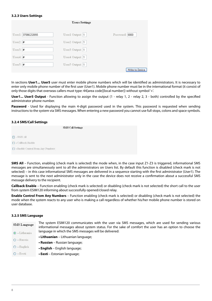#### **3.2.3 Users Settings**

|                    | <b>Users Settings</b> |                 |
|--------------------|-----------------------|-----------------|
| User1: 37066232655 | User1 Output: 1       | Password: 0000  |
| $User2:$ #         | User2 Output: 1       |                 |
| $User3:$ #         | User3 Output: 1       |                 |
| $User4:$ #         | User4 Output: 1       |                 |
| Usex5:#            | User5 Output: 1       |                 |
|                    |                       | Write to Device |

In sections **User1... User5** user must enter mobile phone numbers which will be identified as administrators. It is necessary to enter only mobile phone number of the first user (User1). Mobile phone number must be in the international format (it consist of only those digits that overseas callers must type: 44[area code][local number]) without symbol '+'.

**User1... User5 Output** - Function allowing to assign the output (1 - relay 1, 2 - relay 2, 3 - both) controlled by the specified administrator phone number.

**Password** - Used for displaying the main 4-digit password used in the system. This password is requested when sending instructions to the system via SMS messages. When entering a new password you cannot use full stops, colons and space symbols.

#### **3.2.4 SMS/Call Settings**

|                                      | <b>SMS/Call Settings</b> |
|--------------------------------------|--------------------------|
| $\Box$ - SMS All                     |                          |
| <b>1</b> - Callback Enable           |                          |
| Fl - Enable Control From Any Numbers |                          |

**SMS All** – Function, enabling (check mark is selected) the mode when, in the case input Z1-Z3 is triggered, informational SMS messages are simultaneously sent to all the administrators on Users list. By default this function is disabled (check mark is not selected) – in this case informational SMS messages are delivered in a sequence starting with the first administrator (User1). The message is sent to the next administrator only in the case the device does not receive a confirmation about a successful SMS message delivery to the recipient.

**Callback Enable** – Function enabling (check mark is selected) or disabling (check mark is not selected) the short call to the user from system ESIM120 informing about successfully opened/closed relay.

**Enable Control From Any Numbers** – Function enabling (check mark is selected) or disabling (check mark is not selected) the mode when the system reacts to any user who is making a call regardless of whether his/her mobile phone number is stored on user database.

#### **3.2.5 SMS Language**

| <b>SMS Language</b> | The system ESIM120 communicates with the user via SMS messages, which are used for sending various<br>informational messages about system status. For the sake of comfort the user has an option to choose the<br>language in which the SMS messages will be delivered: |  |  |
|---------------------|-------------------------------------------------------------------------------------------------------------------------------------------------------------------------------------------------------------------------------------------------------------------------|--|--|
| $\odot$ - Lithuania |                                                                                                                                                                                                                                                                         |  |  |
|                     | • Lithuanian – Lithuanian language;                                                                                                                                                                                                                                     |  |  |
| O - Russia          | • Russian – Russian language;                                                                                                                                                                                                                                           |  |  |
| $O$ - English       | • English - English language;                                                                                                                                                                                                                                           |  |  |
|                     |                                                                                                                                                                                                                                                                         |  |  |

**• Eesti** – Estonian language;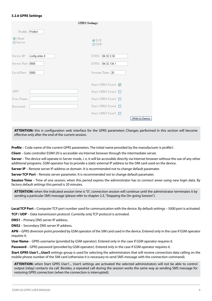#### **3.2.6 GPRS Settings**

|                                     | <b>GPRS</b> Settings |                                             |
|-------------------------------------|----------------------|---------------------------------------------|
| Profile: Profile1                   |                      |                                             |
| $\odot$ Client<br>$\bigcirc$ Server |                      | $\odot$ TCP<br>OUDP                         |
| Server $\mathbb{P}$ :               | config.eldes.lt      | DNS1:<br>84.32.3.34                         |
| Server Port: 5555                   |                      | 84.32.134.1<br>$DNS2$ :                     |
| Local Port:                         | 5000                 | Session Time: 20                            |
|                                     |                      | Start GPRS User1: ☑                         |
| APN:                                |                      | Start GPRS User2: $\Box$                    |
| User Name:                          |                      | Start GPRS User3: □                         |
| Password:                           |                      | Start GPRS User4: $\Box$                    |
|                                     |                      | Start GPRS User5: $\Box$<br>Write to Device |
|                                     |                      |                                             |

**ATTENTION:** this is configuration web interface for the GPRS parameters Changes performed in this section will become effective only after the end of the current session.

**Profile** – Code name of the current GPRS parameters. The initial name provided by the manufacturer is profile1.

**Client** – Gate controller ESIM120 is accessible via Internet browser through the intermediate server.

Server – The device will operate in Server mode, i. e. it will be accessible directly via Internet browser without the use of any other additional programs. GSM operator has to provide a static external IP address to the SIM card used on the device.

**Server IP** – Remote server IP address or domain. It is recommended not to change default paramater.

**Server TCP Port** – Remote server parameter. It is recommended not to change default paramater.

**Session Time** – Time of one session; when this period expires the administrator has to connect anew using new login data. By factory default settings this period is 20 minutes.

**ATTENTION:** when the indicated session time is "0", connection session will continue until the administrator terminates it by sending a particular SMS message (please refer to chapter 2.3, "Stopping the On-going Session").

**Local TCP Port** – Computer TCP port number used for communication with the device. By default settings – 5000 port is activated. **TCP / UDP** – Data transmission protocol. Currently only TCP protocol is activated.

**DNS1** – Primary DNS server IP address.

**DNS2** – Secondary DNS server IP address.

**APN** – GPRS diversion point provided by GSM operator of the SIM card used in the device. Entered only in the case if GSM operator requires it.

**User Name** – GPRS username (provided by GSM operator). Entered only in the case if GSM operator requires it.

**Password** – GPRS password (provided by GSM operator). Entered only in the case if GSM operator requires it.

**Start GPRS User1...User5** settings group is used for selecting the administrators that will receive connection data calling on the mobile phone number of the SIM card (otherwise it is necessary to send SMS message with the connection command).

**ATTENTION:** when Start GPRS User1... User5 settings are activated the selected administrators will not be able to control output (relay) contacts via call. Besides, a repeated call during the session works the same way as sending SMS message for restoring GPRS connection (when the connection is interrupted).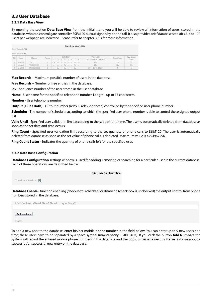#### **3.3 User Database**

#### **3.3.1 Data Base View**

By opening the section **Data Base View** from the initial menu you will be able to review all information of users, stored in the database, who can control gate controller ESIM120 output signals by phone call. It also provides brief database statistics. Up to 100 users per webpage are indicated. Please, refer to chapter 3.3.3 for more information.

| Data Base View(1-100)<br>Max Records 500<br>Free Records 497 |         |             |        |                      |  |  |                                   |  |  |                    |                  |                   |                   |
|--------------------------------------------------------------|---------|-------------|--------|----------------------|--|--|-----------------------------------|--|--|--------------------|------------------|-------------------|-------------------|
| <b>Idz</b>                                                   | Name    | Number      | Output | Scheduler<br>2345678 |  |  |                                   |  |  |                    | Valid Until      | <b>Fing Count</b> | <b>Fine Count</b> |
|                                                              |         |             |        |                      |  |  |                                   |  |  |                    | YYYY MM DD HH MM |                   | Status            |
|                                                              | test001 | 3701111111  |        | On:                  |  |  | $-99 - 49 - 39$                   |  |  | The Low Line - Low | N <sub>B</sub>   |                   |                   |
| $\overline{2}$                                               | testas2 | 3702222222  |        | $-1$                 |  |  | $\sim$ $\sim$ On $\sim$ On $\sim$ |  |  |                    | Na               | Na                | 14a               |
| 3                                                            | text003 | 37055555555 |        |                      |  |  | $ O_B - O_B -  O_B -$             |  |  |                    | 2011 12 15 15 20 |                   |                   |

**Max Records** – Maximum possible number of users in the database.

**Free Records** – Number of free entries in the database.

**Idx** - Sequence number of the user stored in the user database.

**Name** - User name for the specified telephone number. Length - up to 15 characters.

**Number** - User telephone number.

**Output (1 / 2 / Both)** - Output number (relay 1, relay 2 or both) controlled by the specified user phone number.

**Scheduler** - The number of scheduler according to which the specified user phone number is able to control the assigned output  $(-5)$ 

**Valid Until** - Specified user validation limit according to the set date and time. The user is automatically deleted from database as soon as the set date and time occurs.

**Ring Count** - Specified user validation limit according to the set quantity of phone calls to ESIM120. The user is automatically deleted from database as soon as the set value of phone calls is depleted. Maximum value is 4294967296.

**Ring Count Status** - Indicates the quantity of phone calls left for the specified user.

#### **3.3.2 Data Base Configuration**

**Database Configuration** settings window is used for adding, removing or searching for a particular user in the current database. Each of these operations are described below:

**Data Base Configuration** 

Database Enable: V

**Database Enable** - function enabling (check-box is checked) or disabling (check-box is unchecked) the output control from phone numbers stored in the database.

Add Numbers: (Numl Num2 Num3 .... up to Num9)



To add a new user to the database, enter his/her mobile phone number in the field below. You can enter up to 9 new users at a time; these users have to be separated by a space symbol (max capacity – 500 users). If you click the button **Add Numbers** the system will record the entered mobile phone numbers in the database and the pop-up message next to **Status**: informs about a successful/unsuccessful new entry on the database.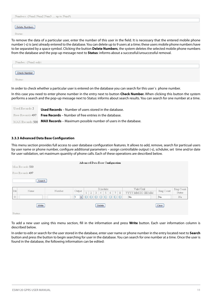Numbers: (Num1 Num2 Num3 .... up to Num9)

Delete Numbers

Status

To remove the data of a particular user, enter the number of this user in the field. It is necessary that the entered mobile phone number (-s) is (are) already entered to the database. You can delete up to 9 users at a time; these users mobile phone numbers have to be separated by a space symbol. Clicking the button **Delete Numbers**, the system deletes the selected mobile phone numbers from the database and the pop-up message next to **Status**: informs about a successful/unsuccessful removal.

| Number: (Numl only) |  |
|---------------------|--|
|                     |  |
| Check Number        |  |
| Status:             |  |

In order to check whether a particular user is entered on the database you can search for this user`s phone number.

In this case you need to enter phone number in the entry next to button **Check Number.** When clicking this button the system performs a search and the pop-up message next to Status: informs about search results. You can search for one number at a time.

| Used Records: 3   | <b>Used Records</b> – Number of users stored in the database.                             |
|-------------------|-------------------------------------------------------------------------------------------|
| Free Records: 497 | <b>Free Records</b> – Number of free entries in the database.                             |
|                   | $MAX$ Records: 500 <b>MAX Records</b> – Maximum possible number of users in the database. |

#### **3.3.3 Advanced Data Base Configuration**

This menu section provides full access to user database configuration features. It allows to add, remove, search for particual users by user name or phone number, configure additional parameters – assign controllable output (-s), schduler, set time and/or date for user validation, set maximum quantity of phone calls. Each of these operations are described below.

| <b>Advanced Data Base Configuration</b> |                                                                              |                                 |                                    |  |  |  |  |  |  |  |  |
|-----------------------------------------|------------------------------------------------------------------------------|---------------------------------|------------------------------------|--|--|--|--|--|--|--|--|
| Max Records 500                         |                                                                              |                                 |                                    |  |  |  |  |  |  |  |  |
| Free Records 497                        |                                                                              |                                 |                                    |  |  |  |  |  |  |  |  |
| Search                                  |                                                                              |                                 |                                    |  |  |  |  |  |  |  |  |
| Idx<br>Name<br>Number                   | Scheduler<br>Output<br>$\overline{2}$<br>5<br>$7-$<br>8<br>3<br>6<br>×.<br>4 | Valid Until<br>YYYY.MM.DD HH:MM | Ring Count<br>Ring Count<br>Status |  |  |  |  |  |  |  |  |
| $\hat{0}$                               | Ē<br>О<br>$\Box$<br>$\Box$<br>$\ddot{ }$<br>ப                                | Na                              | Na<br>Na                           |  |  |  |  |  |  |  |  |
| Write<br>Status:                        | Delete                                                                       |                                 | Clear                              |  |  |  |  |  |  |  |  |

To add a new user using this menu section, fill in the information and press **Write** button. Each user information column is described below.

In order to edit or search for the user stored in the database, enter user name or phone number in the entry located next to **Search** button and press the button to begin searching for user in the database. You can search for one number at a time. Once the user is found in the database, the following information can be edited: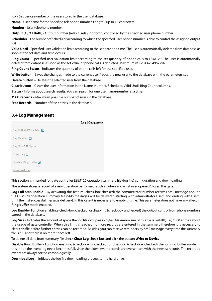**Idx** - Sequence number of the user stored in the user database.

**Name** - User name for the specified telephone number. Length - up to 15 characters.

**Number** - User telephone number.

**Output (1 / 2 / Both)** - Output number (relay 1, relay 2 or both) controlled by the specified user phone number.

**Scheduler** - The number of scheduler according to which the specified user phone number is able to control the assigned output  $(-5)$ 

**Valid Until** - Specified user validation limit according to the set date and time. The user is automatically deleted from database as soon as the set date and time occurs.

**Ring Count** - Specified user validation limit according to the set quantity of phone calls to ESIM120. The user is automatically deleted from database as soon as the set value of phone calls is depleted. Maximum value is 4294967296.

**Ring Count Status** - Indicates the quantity of phone calls left for the specified user.

Write button - Saves the changes made to the current user / adds the new user to the database with the parameters set.

**Delete button** – Deletes the selected user from the database.

**Clear button** – Clears the user information in the Name, Number, Scheduler, Valid Until, Ring Count columns.

**Status** - Informs about search results. You can search for one user name/number at a time.

**MAX Records** – Maximum possible number of users in the database..

**Free Records** – Number of free entries in the database.

#### **3.4 Log Management**

|                               | Log Management |
|-------------------------------|----------------|
| Log Full SMS Enable: $\nabla$ |                |
| $Log$ Enable: $\Box$          |                |
| Log Size: 160 Bytes           |                |
| Clear Log                     |                |
| Disable Ring Buffer           |                |
| Download Log                  |                |

This section is intended for gate controller ESIM120 operation summary file (log file) configuration and downloading.

The system stores a record of every operation performed, such as when and what user opened/closed the gate.

**Log Full SMS Enable** – By activating this feature (check-box checked) the administrator number receives SMS message about a full ESIM120 operation summary file (SMS messages will be delivered starting with administrator User1 and ending with User5, until the first successful message delivery). In this case it is necessary to empty this file. This parameter does not have any affect in **Ring buffer** mode enabled.

**Log Enable** - Function enabling (check-box checked) or disabling (check-box unchecked) the output control from phone numbers stored in the database.

Log Size - Indicates the amount of space the log file occupies in bytes. Maximum size of this file is ~44 KB, i. e., 1000 entries about the usage of gate controller. When this limit is reached no more records are entered in the summary therefore it is necessary to clear this file before further entries can be recorded. Besides, you can receive reminders by SMS message every time the summary file is full and there is no more space left .

To delete all data from summary file check **Clear Log** check-box and click the button **Write to Device**

**Disable Ring Buffer** - Function enabling (check-box unchecked) or disabling (check-box checked) the log ring buffer mode. In this mode the event log never becomes full, since the oldest event records are overwritten with the newest records. The recorded events are always sorted chronologically.

**Download Log** – Initiates the log file downloading process to the hard drive.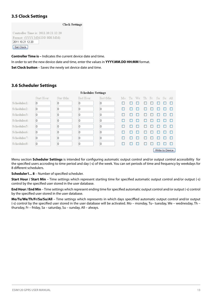#### **3.5 Clock Settings**

**Clock Settings** 

```
Controller Time is: 2011.10.21 12:20
Format: (VVVV MM DD HH:MM)
2011 10:21:12:20
Set Clock
```
**Controller Time is –** Indicates the current device date and time. In order to set the new device date and time, enter the values in **YYYY.MM.DD HH:MM** format. **Set Clock button** – Saves the newly set device date and time.

#### **Scheduler Settings** Start Hour Star tMin: End Hour. End tMin: Mo: Tu: We: Th: Fr: Sa: Su: All: Schodulorl  $\overline{\mathsf{n}}$  $\overline{\phantom{a}}$  $\overline{a}$  $\overline{0}$  $\Box$  $\Box$  $\Box$  $\Box$  $\Box$  $\Box$  $\Box$ Scheduler2:  $\overline{\mathsf{n}}$ 'n  $\overline{0}$  $\Box$ 'n  $\Box$  $\Box$  $\Box$  $\Box$  $\Box$  $\Box$  $\Box$ Scheduler3: lo  $\overline{0}$  $\overline{0}$  $\overline{0}$  $\Box$  $\Box$  $\Box$  $\Box$  $\Box$  $\Box$  $\Box$  $\Box$ Scheduler4:  $\overline{\mathsf{n}}$  $\overline{0}$  $\overline{a}$  $\overline{0}$  $\Box$  $\Box$  $\Box$  $\Box$  $\Box$  $\Box$  $\Box$  $\Box$ Scheduler5:  $\overline{0}$  $\overline{\mathsf{n}}$  $\overline{0}$  $\overline{0}$  $\Box$  $\Box$  $\Box$  $\Box$  $\Box$  $\Box$  $\Box$  $\Box$  $\Box$ Scheduler6:  $\overline{0}$  $\overline{0}$  $\overline{0}$  $\Box$  $\Box$  $\Box$  $\Box$  $\Box$ lo.  $\Box$  $\Box$ Scheduler7:  $\overline{0}$  $\overline{0}$  $\overline{0}$  $\overline{0}$  $\Box$  $\Box$  $\Box$  $\Box$  $n n n n$ Scheduler8: 'n  $\overline{\mathsf{n}}$  $\overline{0}$  $\overline{p}$  $\Box$  $\Box$  $\Box$ **BBBB** Write to Device

#### **3.6 Scheduler Settings**

Menu section **Scheduler Settings** is intended for configuring automatic output control and/or output control accessibility for the specified users accroding to time period and day (-s) of the week. You can set periods of time and frequency by weekdays for 8 different schedulers.

**Scheduler1... 8** – Number of specified scheduler.

**Start Hour / Start Min** – Time settings which represent starting time for specified automatic output control and/or output (-s) control by the specified user stored in the user database.

**End Hour / End Min** – Time settings which represent ending time for specified automatic output control and/or output (-s) control by the specified user stored in the user database.

**Mo/Tu/We/Th/Fr/Sa/Su/All** – Time settings which represents in which days speciffied automatic output control and/or output (-s) control by the specified user stored in the user database will be activated. Mo – monday, Tu– tuesday, We – wednesday, Th – thursday, Fr – friday, Sa – saturday, Su – sunday, All – always.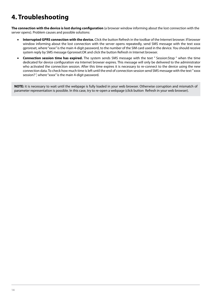### **4. Troubleshooting**

**The connection with the device is lost during configuration** (a browser window informing about the lost connection with the server opens). Problem causes and possible solutions:

- • **Interrupted GPRS connection with the device.** Click the button Refresh in the toolbar of the Internet browser. If browser window informing about the lost connection with the server opens repeatedly, send SMS message with the text xxxx gprsreset, where "xxxx" is the main 4-digit password, to the number of the SIM card used in the device. You should receive system reply by SMS message Gprsreset:OK and click the button Refresh in Internet browser.
- **Connection session time has expired.** The system sends SMS message with the text " Session:Stop " when the time dedicated for device configuration via Internet browser expires. This message will only be delivered to the administrator who activated the connection session. After this time expires it is necessary to re-connect to the device using the new connection data. To check how much time is left until the end of connection session send SMS message with the text " xxxx session? ", where "xxxx" is the main 4-digit password.

**NOTE:** it is necessary to wait until the webpage is fully loaded in your web browser. Otherwise corruption and mismatch of parameter representation is possible. In this case, try to re-open a webpage (click button Refresh in your web browser).